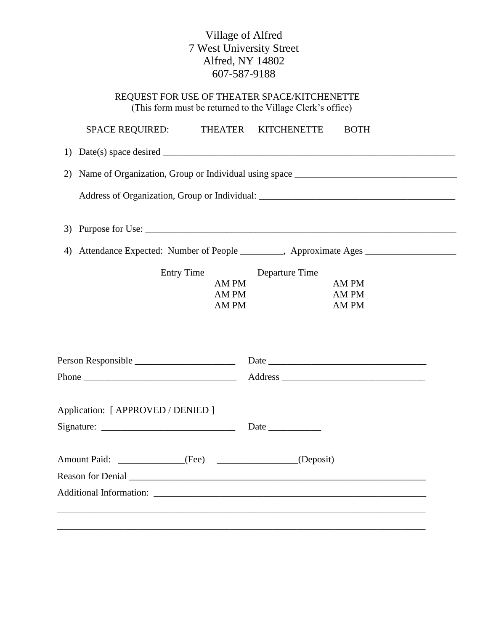## Village of Alfred 7 West University Street Alfred, NY 14802 607-587-9188

| REQUEST FOR USE OF THEATER SPACE/KITCHENETTE               |
|------------------------------------------------------------|
| (This form must be returned to the Village Clerk's office) |

|                                              | <b>SPACE REQUIRED:</b>                                                            |  | THEATER KITCHENETTE |  | <b>BOTH</b>             |  |  |  |
|----------------------------------------------|-----------------------------------------------------------------------------------|--|---------------------|--|-------------------------|--|--|--|
|                                              |                                                                                   |  |                     |  |                         |  |  |  |
|                                              |                                                                                   |  |                     |  |                         |  |  |  |
|                                              |                                                                                   |  |                     |  |                         |  |  |  |
|                                              |                                                                                   |  |                     |  |                         |  |  |  |
|                                              | 4) Attendance Expected: Number of People ________, Approximate Ages _____________ |  |                     |  |                         |  |  |  |
| <b>Entry Time</b><br>AM PM<br>AM PM<br>AM PM |                                                                                   |  | Departure Time      |  | AM PM<br>AM PM<br>AM PM |  |  |  |
|                                              |                                                                                   |  |                     |  |                         |  |  |  |
|                                              | Phone $\overline{\phantom{a}}$                                                    |  |                     |  |                         |  |  |  |
|                                              | Application: [ APPROVED / DENIED ]                                                |  |                     |  |                         |  |  |  |
|                                              | Amount Paid: ______________(Fee) _______________(Deposit)                         |  |                     |  |                         |  |  |  |
|                                              |                                                                                   |  |                     |  |                         |  |  |  |